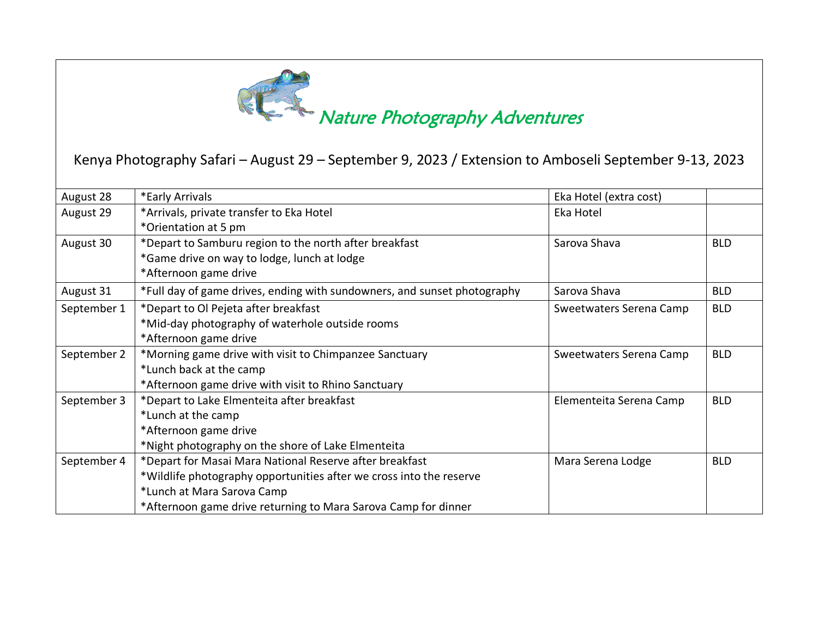

## **Nature Photography Adventures**

## Kenya Photography Safari – August 29 – September 9, 2023 / Extension to Amboseli September 9-13, 2023

| August 28   | *Early Arrivals                                                          | Eka Hotel (extra cost)  |            |
|-------------|--------------------------------------------------------------------------|-------------------------|------------|
| August 29   | *Arrivals, private transfer to Eka Hotel                                 | Eka Hotel               |            |
|             | *Orientation at 5 pm                                                     |                         |            |
| August 30   | *Depart to Samburu region to the north after breakfast                   | Sarova Shava            | <b>BLD</b> |
|             | *Game drive on way to lodge, lunch at lodge                              |                         |            |
|             | *Afternoon game drive                                                    |                         |            |
| August 31   | *Full day of game drives, ending with sundowners, and sunset photography | Sarova Shava            | <b>BLD</b> |
| September 1 | *Depart to Ol Pejeta after breakfast                                     | Sweetwaters Serena Camp | <b>BLD</b> |
|             | *Mid-day photography of waterhole outside rooms                          |                         |            |
|             | *Afternoon game drive                                                    |                         |            |
| September 2 | *Morning game drive with visit to Chimpanzee Sanctuary                   | Sweetwaters Serena Camp | <b>BLD</b> |
|             | *Lunch back at the camp                                                  |                         |            |
|             | *Afternoon game drive with visit to Rhino Sanctuary                      |                         |            |
| September 3 | *Depart to Lake Elmenteita after breakfast                               | Elementeita Serena Camp | <b>BLD</b> |
|             | *Lunch at the camp                                                       |                         |            |
|             | *Afternoon game drive                                                    |                         |            |
|             | *Night photography on the shore of Lake Elmenteita                       |                         |            |
| September 4 | *Depart for Masai Mara National Reserve after breakfast                  | Mara Serena Lodge       | <b>BLD</b> |
|             | *Wildlife photography opportunities after we cross into the reserve      |                         |            |
|             | *Lunch at Mara Sarova Camp                                               |                         |            |
|             | *Afternoon game drive returning to Mara Sarova Camp for dinner           |                         |            |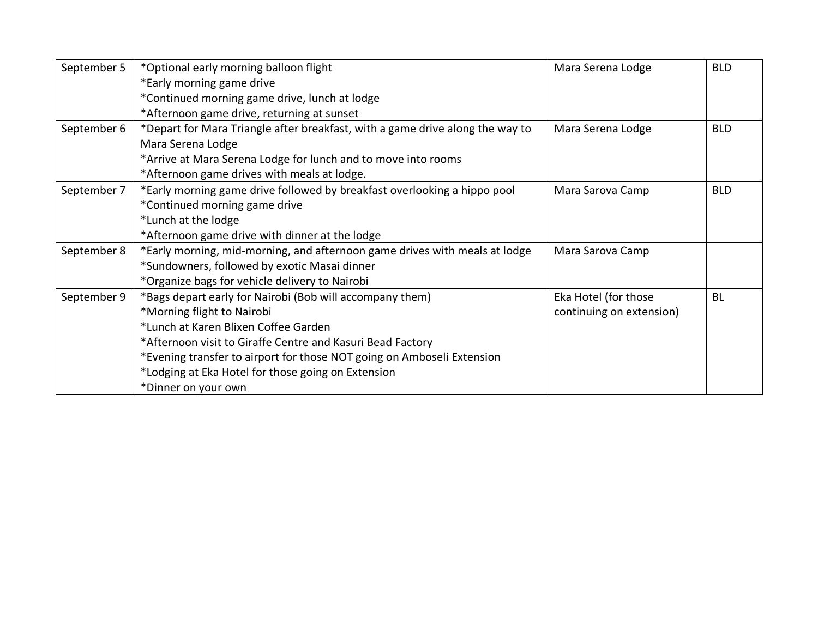| September 5 | *Optional early morning balloon flight                                        | Mara Serena Lodge        | <b>BLD</b> |
|-------------|-------------------------------------------------------------------------------|--------------------------|------------|
|             | *Early morning game drive                                                     |                          |            |
|             | *Continued morning game drive, lunch at lodge                                 |                          |            |
|             | *Afternoon game drive, returning at sunset                                    |                          |            |
| September 6 | *Depart for Mara Triangle after breakfast, with a game drive along the way to | Mara Serena Lodge        | <b>BLD</b> |
|             | Mara Serena Lodge                                                             |                          |            |
|             | *Arrive at Mara Serena Lodge for lunch and to move into rooms                 |                          |            |
|             | *Afternoon game drives with meals at lodge.                                   |                          |            |
| September 7 | *Early morning game drive followed by breakfast overlooking a hippo pool      | Mara Sarova Camp         | <b>BLD</b> |
|             | *Continued morning game drive                                                 |                          |            |
|             | *Lunch at the lodge                                                           |                          |            |
|             | *Afternoon game drive with dinner at the lodge                                |                          |            |
| September 8 | *Early morning, mid-morning, and afternoon game drives with meals at lodge    | Mara Sarova Camp         |            |
|             | *Sundowners, followed by exotic Masai dinner                                  |                          |            |
|             | *Organize bags for vehicle delivery to Nairobi                                |                          |            |
| September 9 | *Bags depart early for Nairobi (Bob will accompany them)                      | Eka Hotel (for those     | <b>BL</b>  |
|             | *Morning flight to Nairobi                                                    | continuing on extension) |            |
|             | *Lunch at Karen Blixen Coffee Garden                                          |                          |            |
|             | *Afternoon visit to Giraffe Centre and Kasuri Bead Factory                    |                          |            |
|             | *Evening transfer to airport for those NOT going on Amboseli Extension        |                          |            |
|             | *Lodging at Eka Hotel for those going on Extension                            |                          |            |
|             | *Dinner on your own                                                           |                          |            |